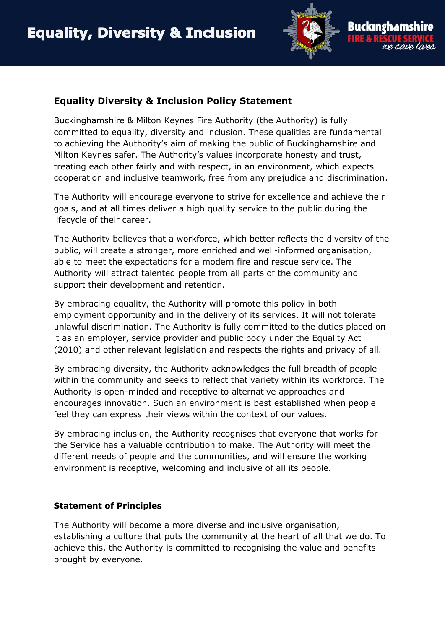

## **Equality Diversity & Inclusion Policy Statement**

Buckinghamshire & Milton Keynes Fire Authority (the Authority) is fully committed to equality, diversity and inclusion. These qualities are fundamental to achieving the Authority's aim of making the public of Buckinghamshire and Milton Keynes safer. The Authority's values incorporate honesty and trust, treating each other fairly and with respect, in an environment, which expects cooperation and inclusive teamwork, free from any prejudice and discrimination.

The Authority will encourage everyone to strive for excellence and achieve their goals, and at all times deliver a high quality service to the public during the lifecycle of their career.

The Authority believes that a workforce, which better reflects the diversity of the public, will create a stronger, more enriched and well-informed organisation, able to meet the expectations for a modern fire and rescue service. The Authority will attract talented people from all parts of the community and support their development and retention.

By embracing equality, the Authority will promote this policy in both employment opportunity and in the delivery of its services. It will not tolerate unlawful discrimination. The Authority is fully committed to the duties placed on it as an employer, service provider and public body under the Equality Act (2010) and other relevant legislation and respects the rights and privacy of all.

By embracing diversity, the Authority acknowledges the full breadth of people within the community and seeks to reflect that variety within its workforce. The Authority is open-minded and receptive to alternative approaches and encourages innovation. Such an environment is best established when people feel they can express their views within the context of our values.

By embracing inclusion, the Authority recognises that everyone that works for the Service has a valuable contribution to make. The Authority will meet the different needs of people and the communities, and will ensure the working environment is receptive, welcoming and inclusive of all its people.

## **Statement of Principles**

The Authority will become a more diverse and inclusive organisation, establishing a culture that puts the community at the heart of all that we do. To achieve this, the Authority is committed to recognising the value and benefits brought by everyone.